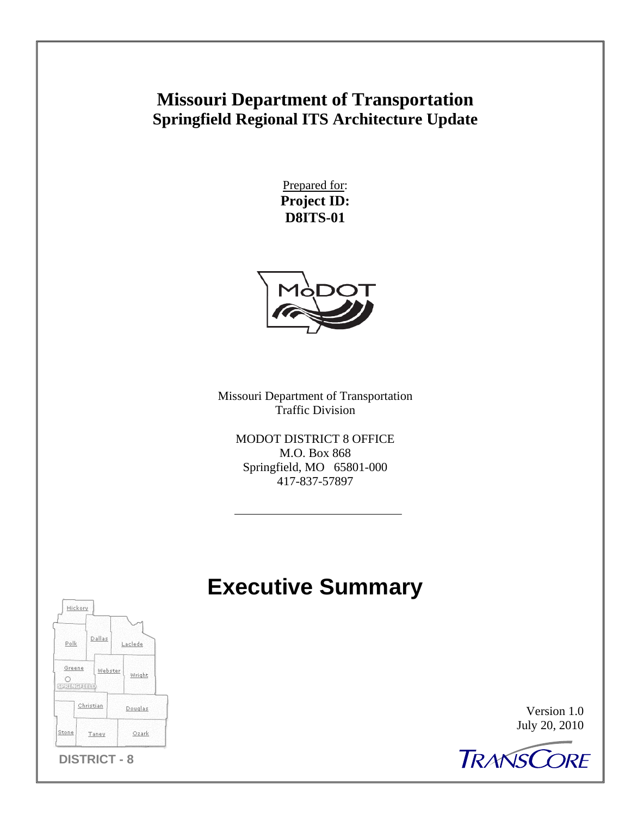# **Missouri Department of Transportation Springfield Regional ITS Architecture Update**

Prepared for: **Project ID: D8ITS-01** 



Missouri Department of Transportation Traffic Division

MODOT DISTRICT 8 OFFICE M.O. Box 868 Springfield, MO 65801-000 417-837-57897

# **Executive Summary**



Version 1.0 July 20, 2010

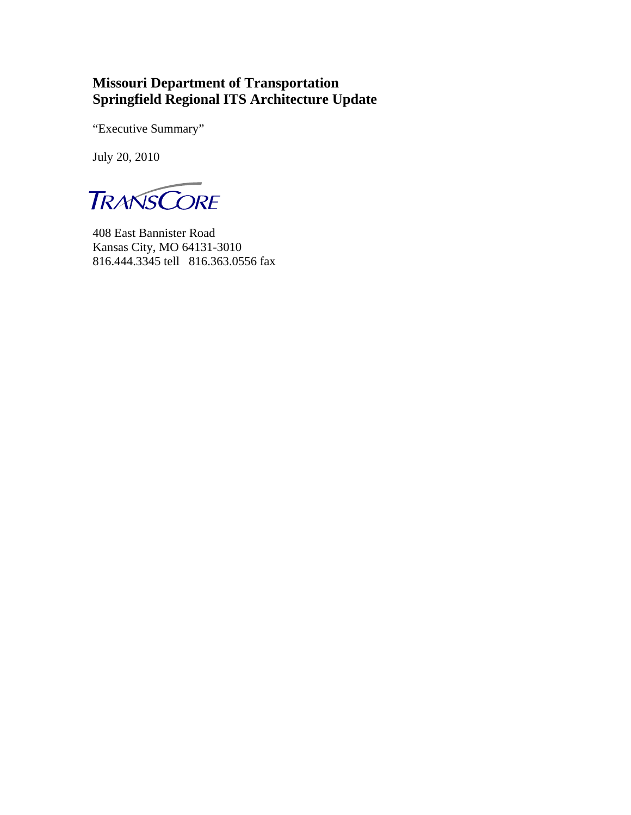#### **Missouri Department of Transportation Springfield Regional ITS Architecture Update**

"Executive Summary"

July 20, 2010

**TRANSCORE** 

408 East Bannister Road Kansas City, MO 64131-3010 816.444.3345 tell 816.363.0556 fax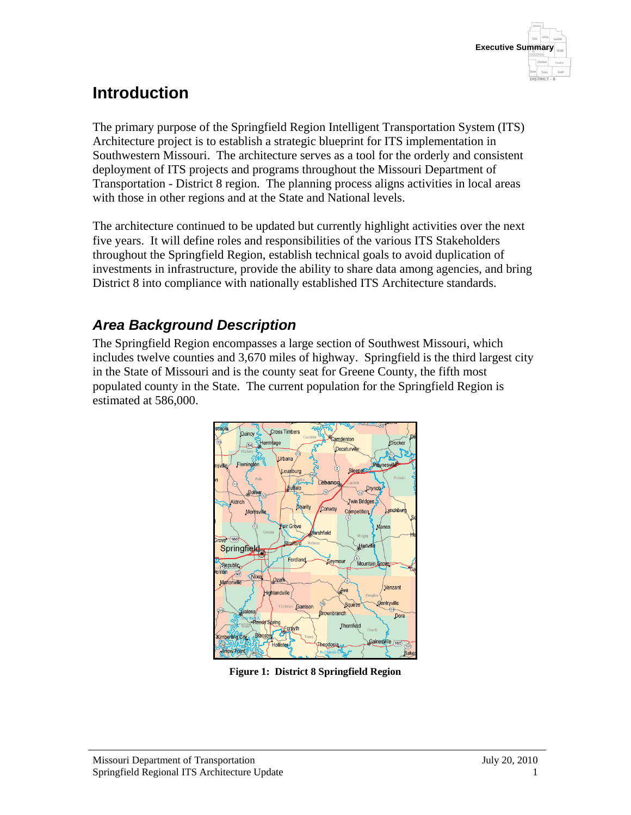

# **Introduction**

The primary purpose of the Springfield Region Intelligent Transportation System (ITS) Architecture project is to establish a strategic blueprint for ITS implementation in Southwestern Missouri. The architecture serves as a tool for the orderly and consistent deployment of ITS projects and programs throughout the Missouri Department of Transportation - District 8 region. The planning process aligns activities in local areas with those in other regions and at the State and National levels.

The architecture continued to be updated but currently highlight activities over the next five years. It will define roles and responsibilities of the various ITS Stakeholders throughout the Springfield Region, establish technical goals to avoid duplication of investments in infrastructure, provide the ability to share data among agencies, and bring District 8 into compliance with nationally established ITS Architecture standards.

#### *Area Background Description*

The Springfield Region encompasses a large section of Southwest Missouri, which includes twelve counties and 3,670 miles of highway. Springfield is the third largest city in the State of Missouri and is the county seat for Greene County, the fifth most populated county in the State. The current population for the Springfield Region is estimated at 586,000.



**Figure 1: District 8 Springfield Region**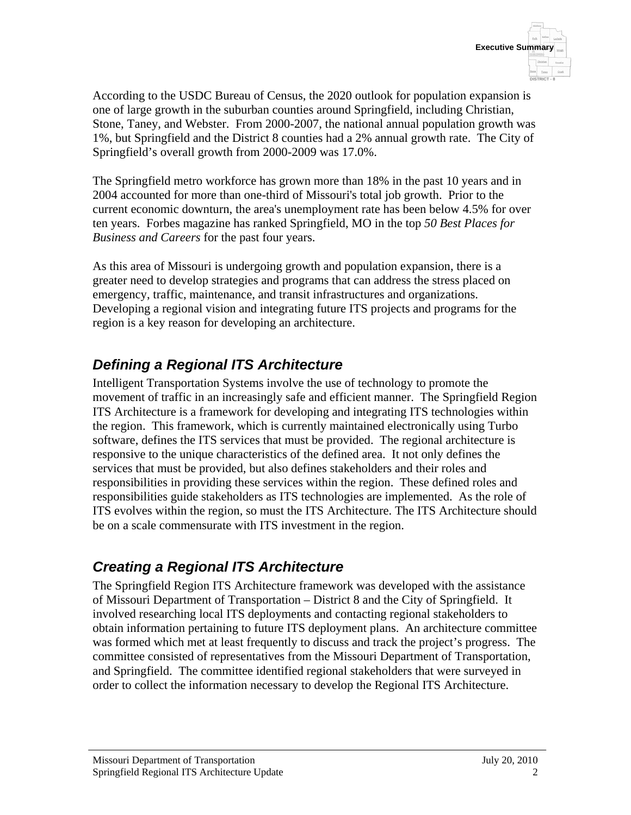According to the USDC Bureau of Census, the 2020 outlook for population expansion is one of large growth in the suburban counties around Springfield, including Christian, Stone, Taney, and Webster. From 2000-2007, the national annual population growth was 1%, but Springfield and the District 8 counties had a 2% annual growth rate. The City of Springfield's overall growth from 2000-2009 was 17.0%.

The Springfield metro workforce has grown more than 18% in the past 10 years and in 2004 accounted for more than one-third of Missouri's total job growth. Prior to the current economic downturn, the area's unemployment rate has been below 4.5% for over ten years. Forbes magazine has ranked Springfield, MO in the top *50 Best Places for Business and Careers* for the past four years.

As this area of Missouri is undergoing growth and population expansion, there is a greater need to develop strategies and programs that can address the stress placed on emergency, traffic, maintenance, and transit infrastructures and organizations. Developing a regional vision and integrating future ITS projects and programs for the region is a key reason for developing an architecture.

## *Defining a Regional ITS Architecture*

Intelligent Transportation Systems involve the use of technology to promote the movement of traffic in an increasingly safe and efficient manner. The Springfield Region ITS Architecture is a framework for developing and integrating ITS technologies within the region. This framework, which is currently maintained electronically using Turbo software, defines the ITS services that must be provided. The regional architecture is responsive to the unique characteristics of the defined area. It not only defines the services that must be provided, but also defines stakeholders and their roles and responsibilities in providing these services within the region. These defined roles and responsibilities guide stakeholders as ITS technologies are implemented. As the role of ITS evolves within the region, so must the ITS Architecture. The ITS Architecture should be on a scale commensurate with ITS investment in the region.

#### *Creating a Regional ITS Architecture*

The Springfield Region ITS Architecture framework was developed with the assistance of Missouri Department of Transportation – District 8 and the City of Springfield. It involved researching local ITS deployments and contacting regional stakeholders to obtain information pertaining to future ITS deployment plans. An architecture committee was formed which met at least frequently to discuss and track the project's progress. The committee consisted of representatives from the Missouri Department of Transportation, and Springfield. The committee identified regional stakeholders that were surveyed in order to collect the information necessary to develop the Regional ITS Architecture.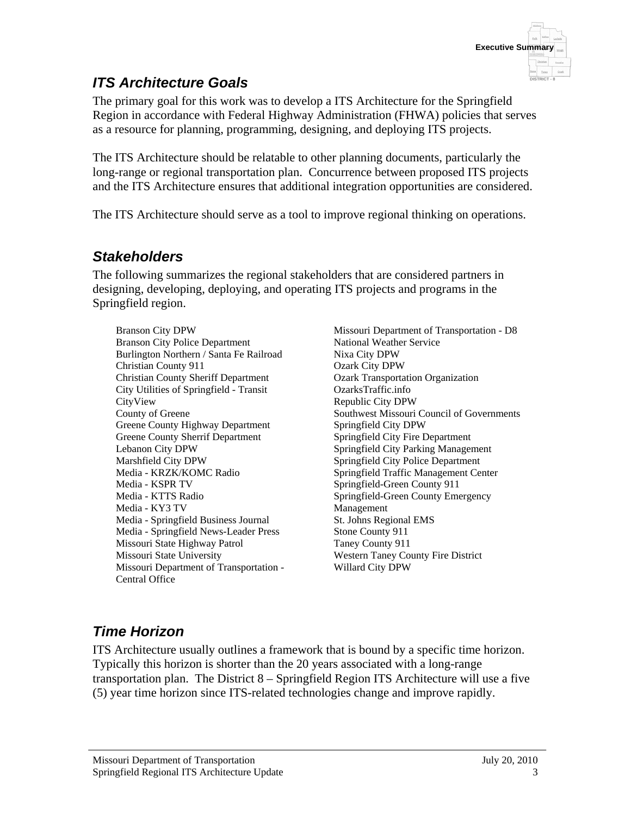

#### *ITS Architecture Goals*

The primary goal for this work was to develop a ITS Architecture for the Springfield Region in accordance with Federal Highway Administration (FHWA) policies that serves as a resource for planning, programming, designing, and deploying ITS projects.

The ITS Architecture should be relatable to other planning documents, particularly the long-range or regional transportation plan. Concurrence between proposed ITS projects and the ITS Architecture ensures that additional integration opportunities are considered.

The ITS Architecture should serve as a tool to improve regional thinking on operations.

#### *Stakeholders*

The following summarizes the regional stakeholders that are considered partners in designing, developing, deploying, and operating ITS projects and programs in the Springfield region.

Branson City DPW Branson City Police Department Burlington Northern / Santa Fe Railroad Christian County 911 Christian County Sheriff Department City Utilities of Springfield - Transit CityView County of Greene Greene County Highway Department Greene County Sherrif Department Lebanon City DPW Marshfield City DPW Media - KRZK/KOMC Radio Media - KSPR TV Media - KTTS Radio Media - KY3 TV Media - Springfield Business Journal Media - Springfield News-Leader Press Missouri State Highway Patrol Missouri State University Missouri Department of Transportation - Central Office

Missouri Department of Transportation - D8 National Weather Service Nixa City DPW Ozark City DPW Ozark Transportation Organization OzarksTraffic.info Republic City DPW Southwest Missouri Council of Governments Springfield City DPW Springfield City Fire Department Springfield City Parking Management Springfield City Police Department Springfield Traffic Management Center Springfield-Green County 911 Springfield-Green County Emergency Management St. Johns Regional EMS Stone County 911 Taney County 911 Western Taney County Fire District Willard City DPW

## *Time Horizon*

ITS Architecture usually outlines a framework that is bound by a specific time horizon. Typically this horizon is shorter than the 20 years associated with a long-range transportation plan. The District 8 – Springfield Region ITS Architecture will use a five (5) year time horizon since ITS-related technologies change and improve rapidly.